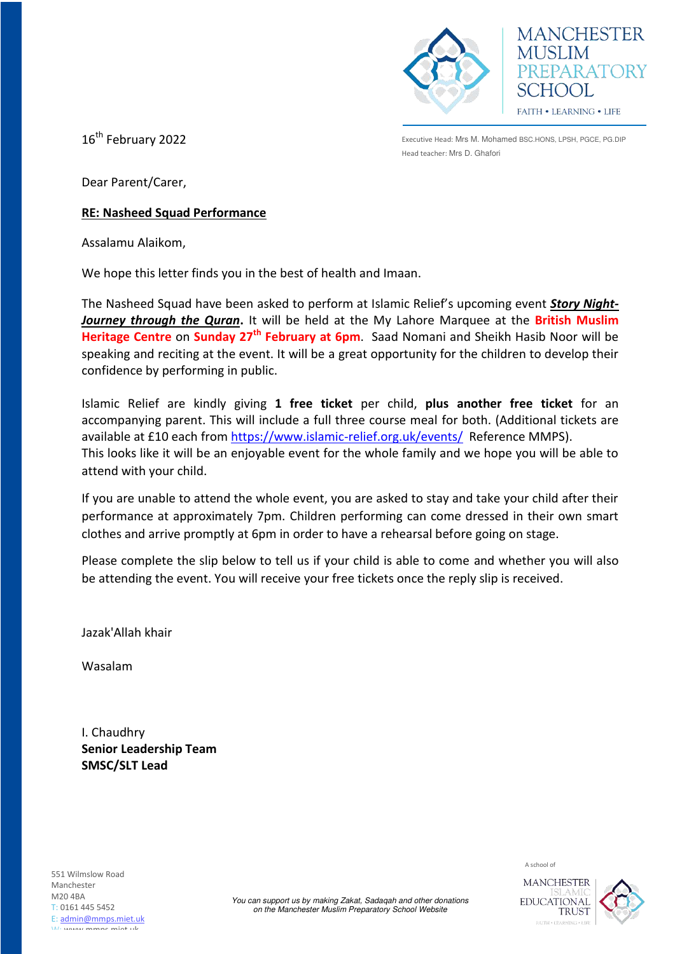



16<sup>th</sup> February 2022

Executive Head: Mrs M. Mohamed BSC.HONS, LPSH, PGCE, PG.DIP Head teacher: Mrs D. Ghafori

Dear Parent/Carer,

## **RE: Nasheed Squad Performance**

Assalamu Alaikom,

We hope this letter finds you in the best of health and Imaan.

The Nasheed Squad have been asked to perform at Islamic Relief's upcoming event *Story Night-Journey through the Quran***.** It will be held at the My Lahore Marquee at the **British Muslim Heritage Centre** on **Sunday 27th February at 6pm**. Saad Nomani and Sheikh Hasib Noor will be speaking and reciting at the event. It will be a great opportunity for the children to develop their confidence by performing in public.

Islamic Relief are kindly giving **1 free ticket** per child, **plus another free ticket** for an accompanying parent. This will include a full three course meal for both. (Additional tickets are available at £10 each fro[m https://www.islamic-relief.org.uk/events/](https://www.islamic-relief.org.uk/events/) Reference MMPS). This looks like it will be an enjoyable event for the whole family and we hope you will be able to attend with your child.

If you are unable to attend the whole event, you are asked to stay and take your child after their performance at approximately 7pm. Children performing can come dressed in their own smart clothes and arrive promptly at 6pm in order to have a rehearsal before going on stage.

Please complete the slip below to tell us if your child is able to come and whether you will also be attending the event. You will receive your free tickets once the reply slip is received.

Jazak'Allah khair

Wasalam

I. Chaudhry **Senior Leadership Team SMSC/SLT Lead**



EDUCATIONAL